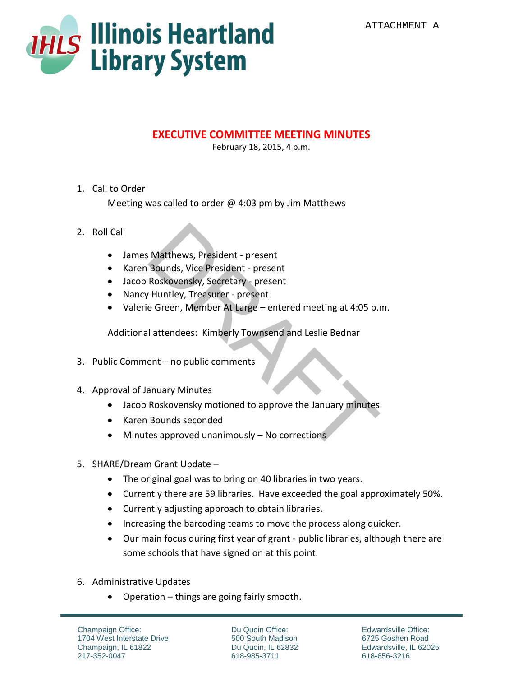

## **EXECUTIVE COMMITTEE MEETING MINUTES**

February 18, 2015, 4 p.m.

## 1. Call to Order

Meeting was called to order  $\omega$  4:03 pm by Jim Matthews

## 2. Roll Call

- James Matthews, President present
- Karen Bounds, Vice President present
- Jacob Roskovensky, Secretary present
- Nancy Huntley, Treasurer present
- Valerie Green, Member At Large entered meeting at 4:05 p.m. Matthews, President - present<br>
Bounds, Vice President - present<br>
Roskovensky, Secretary - present<br>
Puntley, Treasurer - present<br>
e Green, Member At Large – entered meeting at 4:05 p.<br>
I attendees: Kimberly Townsend and Les

Additional attendees: Kimberly Townsend and Leslie Bednar

- 3. Public Comment no public comments
- 4. Approval of January Minutes
	- Jacob Roskovensky motioned to approve the January minutes
	- Karen Bounds seconded
	- Minutes approved unanimously No corrections
- 5. SHARE/Dream Grant Update
	- The original goal was to bring on 40 libraries in two years.
	- Currently there are 59 libraries. Have exceeded the goal approximately 50%.
	- Currently adjusting approach to obtain libraries.
	- Increasing the barcoding teams to move the process along quicker.
	- Our main focus during first year of grant public libraries, although there are some schools that have signed on at this point.
- 6. Administrative Updates
	- Operation things are going fairly smooth.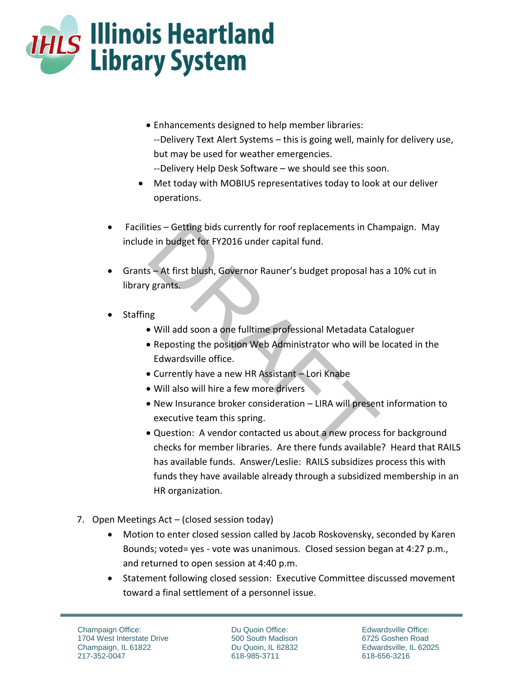

- Enhancements designed to help member libraries: --Delivery Text Alert Systems – this is going well, mainly for delivery use, but may be used for weather emergencies. --Delivery Help Desk Software – we should see this soon.
- Met today with MOBIUS representatives today to look at our deliver operations.
- Facilities Getting bids currently for roof replacements in Champaign. May include in budget for FY2016 under capital fund.
- Grants At first blush, Governor Rauner's budget proposal has a 10% cut in library grants.
- **Staffing** 
	- Will add soon a one fulltime professional Metadata Cataloguer
	- Reposting the position Web Administrator who will be located in the Edwardsville office.
	- Currently have a new HR Assistant Lori Knabe
	- Will also will hire a few more drivers
	- New Insurance broker consideration LIRA will present information to executive team this spring.
- Question: A vendor contacted us about a new process for background checks for member libraries. Are there funds available? Heard that RAILS has available funds. Answer/Leslie: RAILS subsidizes process this with funds they have available already through a subsidized membership in an HR organization. ties – Getting bids currently for roof replacements in Channel in the in budget for FY2016 under capital fund.<br>
S – At first blush, Governor Rauner's budget proposal has<br>
1973.<br>
PRAFT SERVER SURVER SURVER TO USE THE SURVER
- 7. Open Meetings Act (closed session today)
	- Motion to enter closed session called by Jacob Roskovensky, seconded by Karen Bounds; voted= yes - vote was unanimous. Closed session began at 4:27 p.m., and returned to open session at 4:40 p.m.
	- Statement following closed session: Executive Committee discussed movement toward a final settlement of a personnel issue.

Du Quoin Office: 500 South Madison Du Quoin, IL 62832 618-985-3711

Edwardsville Office: 6725 Goshen Road Edwardsville, IL 62025 618-656-3216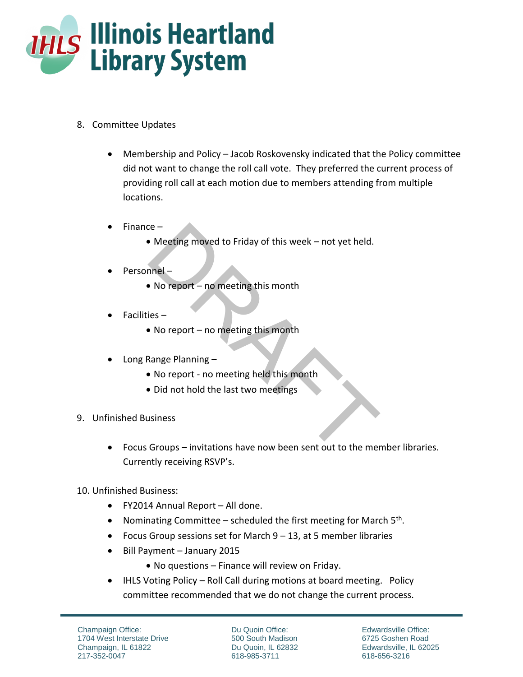

- 8. Committee Updates
	- Membership and Policy Jacob Roskovensky indicated that the Policy committee did not want to change the roll call vote. They preferred the current process of providing roll call at each motion due to members attending from multiple locations.
	- $\bullet$  Finance
		- Meeting moved to Friday of this week not yet held.
	- Personnel
		- No report no meeting this month
	- Facilities
		- No report no meeting this month
	- Long Range Planning
		- No report no meeting held this month
		- Did not hold the last two meetings
- 9. Unfinished Business
- Focus Groups invitations have now been sent out to the member libraries. Currently receiving RSVP's. Compared to Friday of this week – not yet held.<br>
The same of the section of the section of the section<br>
iss –<br>
No report – no meeting this month<br>
Range Planning –<br>
No report - no meeting held this month<br>
Did not hold the l
- 10. Unfinished Business:
	- FY2014 Annual Report All done.
	- Nominating Committee  $-$  scheduled the first meeting for March  $5<sup>th</sup>$ .
	- Focus Group sessions set for March  $9 13$ , at 5 member libraries
	- Bill Payment January 2015
		- No questions Finance will review on Friday.
	- IHLS Voting Policy Roll Call during motions at board meeting. Policy committee recommended that we do not change the current process.

Du Quoin Office: 500 South Madison Du Quoin, IL 62832 618-985-3711